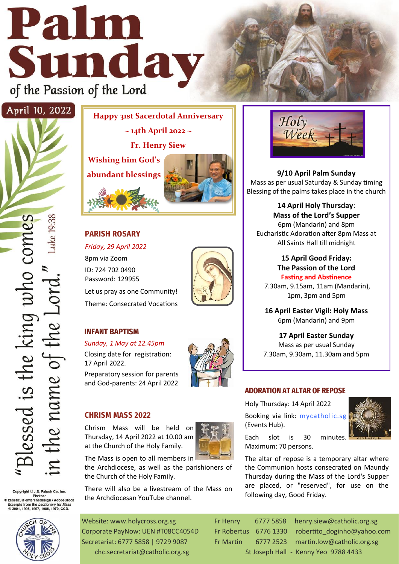# Palm Sunday of the Passion of the Lord



Copyright © J.S. Paluch Co. Inc.<br>© zatletic, © enterlinedesign / AdobeStock<br>Excerpts from the *Lectionary for Mass*<br>© 2001, 1998, 1997, 1986, 1970, CCD.



**Happy 31st Sacerdotal Anniversary** 

**~ 14th April 2022 ~**

**Fr. Henry Siew** 

**Wishing him God's abundant blessings** 



# **PARISH ROSARY**

*Friday, 29 April 2022*

8pm via Zoom ID: 724 702 0490 Password: 129955 Let us pray as one Community! Theme: Consecrated Vocations



## **INFANT BAPTISM**

*Sunday, 1 May at 12.45pm* 

Closing date for registration: 17 April 2022.

Preparatory session for parents and God-parents: 24 April 2022



## **CHRISM MASS 2022**

Chrism Mass will be held on Thursday, 14 April 2022 at 10.00 am at the Church of the Holy Family.

The Mass is open to all members in the Archdiocese, as well as the parishioners of the Church of the Holy Family.

There will also be a livestream of the Mass on the Archdiocesan YouTube channel.

Website: www.holycross.org.sg Fr Henry 6777 5858 henry.siew@catholic.org.sg Secretariat: 6777 5858 | 9729 9087 Fr Martin 6777 2523 martin.low@catholic.org.sg chc.secretariat@catholic.org.sg St Joseph Hall - Kenny Yeo 9788 4433





following day, Good Friday.



**9/10 April Palm Sunday**  Mass as per usual Saturday & Sunday timing Blessing of the palms takes place in the church

**14 April Holy Thursday**: **Mass of the Lord's Supper** 6pm (Mandarin) and 8pm Eucharistic Adoration after 8pm Mass at All Saints Hall till midnight

### **15 April Good Friday: The Passion of the Lord Fasting and Abstinence**

7.30am, 9.15am, 11am (Mandarin), 1pm, 3pm and 5pm

**16 April Easter Vigil: Holy Mass**  6pm (Mandarin) and 9pm

**17 April Easter Sunday** Mass as per usual Sunday 7.30am, 9.30am, 11.30am and 5pm

## **ADORATION AT ALTAR OF REPOSE**

Holy Thursday: 14 April 2022 Booking via link: [mycatholic.sg](https://mycatholic.sg/events)

(Events Hub).



Each slot is 30 minutes. Maximum: 70 persons.

The altar of repose is a temporary altar where the Communion hosts consecrated on Maundy Thursday during the Mass of the Lord's Supper are placed, or "reserved", for use on the